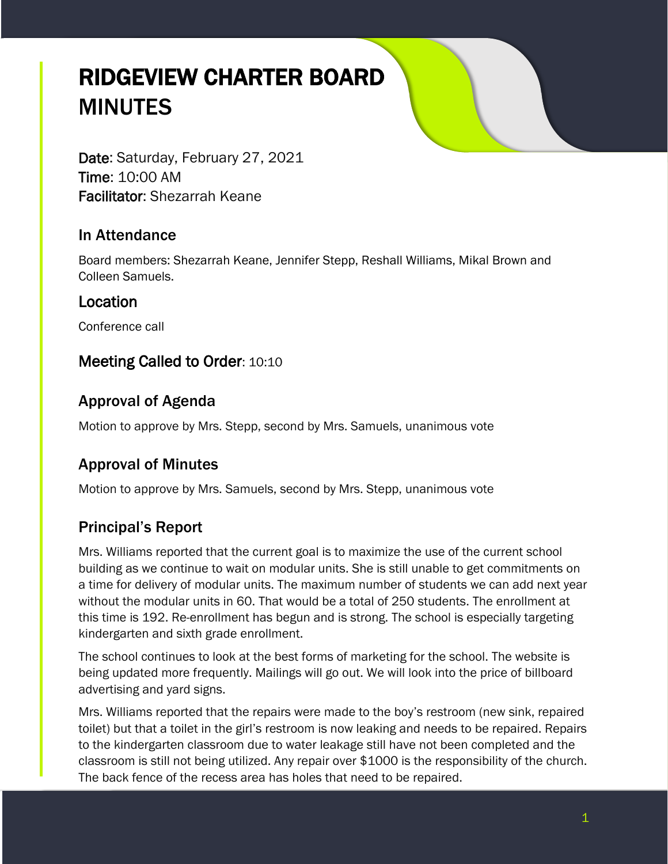# RIDGEVIEW CHARTER BOARD MINUTES

Date: Saturday, February 27, 2021 Time: 10:00 AM Facilitator: Shezarrah Keane

#### In Attendance

Board members: Shezarrah Keane, Jennifer Stepp, Reshall Williams, Mikal Brown and Colleen Samuels.

#### Location

Conference call

#### Meeting Called to Order: 10:10

## Approval of Agenda

Motion to approve by Mrs. Stepp, second by Mrs. Samuels, unanimous vote

# Approval of Minutes

Motion to approve by Mrs. Samuels, second by Mrs. Stepp, unanimous vote

# Principal's Report

Mrs. Williams reported that the current goal is to maximize the use of the current school building as we continue to wait on modular units. She is still unable to get commitments on a time for delivery of modular units. The maximum number of students we can add next year without the modular units in 60. That would be a total of 250 students. The enrollment at this time is 192. Re-enrollment has begun and is strong. The school is especially targeting kindergarten and sixth grade enrollment.

The school continues to look at the best forms of marketing for the school. The website is being updated more frequently. Mailings will go out. We will look into the price of billboard advertising and yard signs.

Mrs. Williams reported that the repairs were made to the boy's restroom (new sink, repaired toilet) but that a toilet in the girl's restroom is now leaking and needs to be repaired. Repairs to the kindergarten classroom due to water leakage still have not been completed and the classroom is still not being utilized. Any repair over \$1000 is the responsibility of the church. The back fence of the recess area has holes that need to be repaired.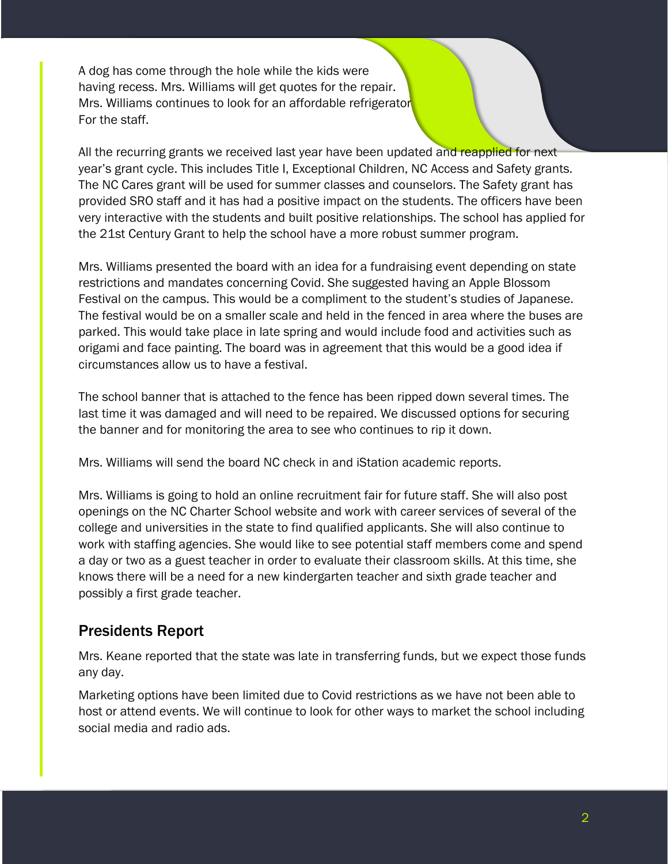A dog has come through the hole while the kids were having recess. Mrs. Williams will get quotes for the repair. Mrs. Williams continues to look for an affordable refrigerator For the staff.

All the recurring grants we received last year have been updated and reapplied for next year's grant cycle. This includes Title I, Exceptional Children, NC Access and Safety grants. The NC Cares grant will be used for summer classes and counselors. The Safety grant has provided SRO staff and it has had a positive impact on the students. The officers have been very interactive with the students and built positive relationships. The school has applied for the 21st Century Grant to help the school have a more robust summer program.

Mrs. Williams presented the board with an idea for a fundraising event depending on state restrictions and mandates concerning Covid. She suggested having an Apple Blossom Festival on the campus. This would be a compliment to the student's studies of Japanese. The festival would be on a smaller scale and held in the fenced in area where the buses are parked. This would take place in late spring and would include food and activities such as origami and face painting. The board was in agreement that this would be a good idea if circumstances allow us to have a festival.

The school banner that is attached to the fence has been ripped down several times. The last time it was damaged and will need to be repaired. We discussed options for securing the banner and for monitoring the area to see who continues to rip it down.

Mrs. Williams will send the board NC check in and iStation academic reports.

Mrs. Williams is going to hold an online recruitment fair for future staff. She will also post openings on the NC Charter School website and work with career services of several of the college and universities in the state to find qualified applicants. She will also continue to work with staffing agencies. She would like to see potential staff members come and spend a day or two as a guest teacher in order to evaluate their classroom skills. At this time, she knows there will be a need for a new kindergarten teacher and sixth grade teacher and possibly a first grade teacher.

#### Presidents Report

Mrs. Keane reported that the state was late in transferring funds, but we expect those funds any day.

Marketing options have been limited due to Covid restrictions as we have not been able to host or attend events. We will continue to look for other ways to market the school including social media and radio ads.